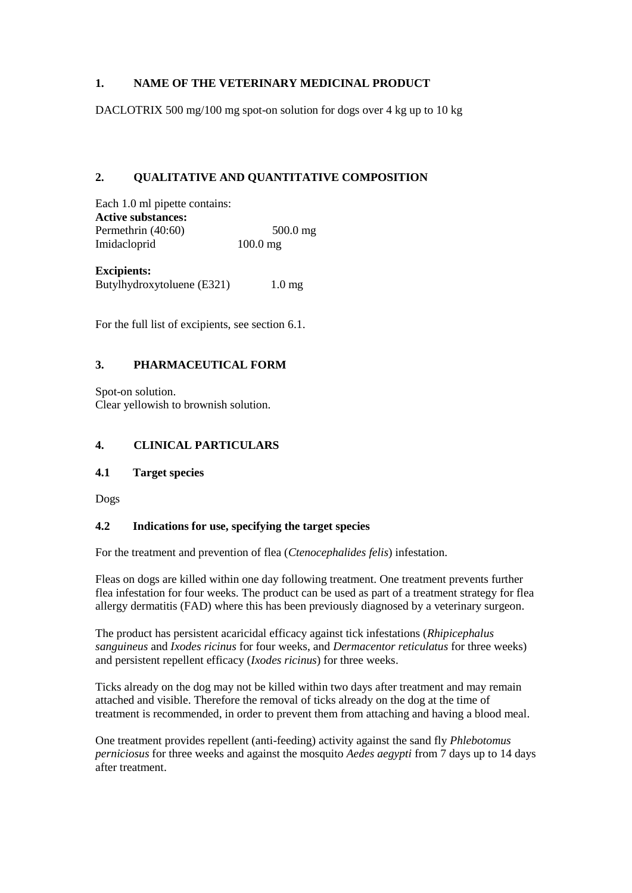#### **1. NAME OF THE VETERINARY MEDICINAL PRODUCT**

DACLOTRIX 500 mg/100 mg spot-on solution for dogs over 4 kg up to 10 kg

#### **2. QUALITATIVE AND QUANTITATIVE COMPOSITION**

Each 1.0 ml pipette contains: **Active substances:** Permethrin (40:60) 500.0 mg Imidacloprid 100.0 mg

**Excipients:** Butylhydroxytoluene (E321) 1.0 mg

For the full list of excipients, see section 6.1.

#### **3. PHARMACEUTICAL FORM**

Spot-on solution. Clear yellowish to brownish solution.

#### **4. CLINICAL PARTICULARS**

#### **4.1 Target species**

Dogs

#### **4.2 Indications for use, specifying the target species**

For the treatment and prevention of flea (*Ctenocephalides felis*) infestation.

Fleas on dogs are killed within one day following treatment. One treatment prevents further flea infestation for four weeks. The product can be used as part of a treatment strategy for flea allergy dermatitis (FAD) where this has been previously diagnosed by a veterinary surgeon.

The product has persistent acaricidal efficacy against tick infestations (*Rhipicephalus sanguineus* and *Ixodes ricinus* for four weeks, and *Dermacentor reticulatus* for three weeks) and persistent repellent efficacy (*Ixodes ricinus*) for three weeks.

Ticks already on the dog may not be killed within two days after treatment and may remain attached and visible. Therefore the removal of ticks already on the dog at the time of treatment is recommended, in order to prevent them from attaching and having a blood meal.

One treatment provides repellent (anti-feeding) activity against the sand fly *Phlebotomus perniciosus* for three weeks and against the mosquito *Aedes aegypti* from 7 days up to 14 days after treatment.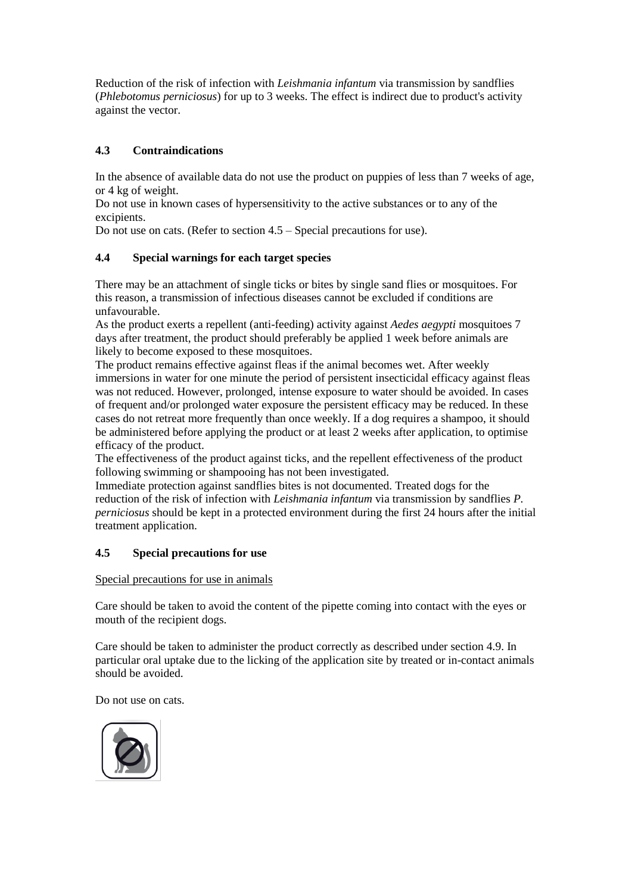Reduction of the risk of infection with *Leishmania infantum* via transmission by sandflies (*Phlebotomus perniciosus*) for up to 3 weeks. The effect is indirect due to product's activity against the vector.

# **4.3 Contraindications**

In the absence of available data do not use the product on puppies of less than 7 weeks of age, or 4 kg of weight.

Do not use in known cases of hypersensitivity to the active substances or to any of the excipients.

Do not use on cats. (Refer to section 4.5 – Special precautions for use).

### **4.4 Special warnings for each target species**

There may be an attachment of single ticks or bites by single sand flies or mosquitoes. For this reason, a transmission of infectious diseases cannot be excluded if conditions are unfavourable.

As the product exerts a repellent (anti-feeding) activity against *Aedes aegypti* mosquitoes 7 days after treatment, the product should preferably be applied 1 week before animals are likely to become exposed to these mosquitoes.

The product remains effective against fleas if the animal becomes wet. After weekly immersions in water for one minute the period of persistent insecticidal efficacy against fleas was not reduced. However, prolonged, intense exposure to water should be avoided. In cases of frequent and/or prolonged water exposure the persistent efficacy may be reduced. In these cases do not retreat more frequently than once weekly. If a dog requires a shampoo, it should be administered before applying the product or at least 2 weeks after application, to optimise efficacy of the product.

The effectiveness of the product against ticks, and the repellent effectiveness of the product following swimming or shampooing has not been investigated.

Immediate protection against sandflies bites is not documented. Treated dogs for the reduction of the risk of infection with *Leishmania infantum* via transmission by sandflies *P. perniciosus* should be kept in a protected environment during the first 24 hours after the initial treatment application.

### **4.5 Special precautions for use**

### Special precautions for use in animals

Care should be taken to avoid the content of the pipette coming into contact with the eyes or mouth of the recipient dogs.

Care should be taken to administer the product correctly as described under section 4.9. In particular oral uptake due to the licking of the application site by treated or in-contact animals should be avoided.

Do not use on cats.

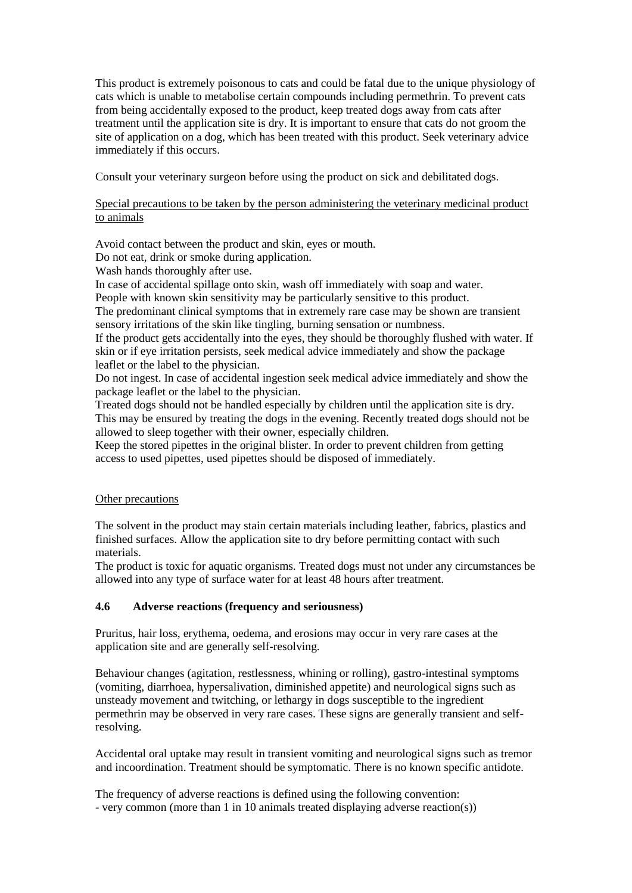This product is extremely poisonous to cats and could be fatal due to the unique physiology of cats which is unable to metabolise certain compounds including permethrin. To prevent cats from being accidentally exposed to the product, keep treated dogs away from cats after treatment until the application site is dry. It is important to ensure that cats do not groom the site of application on a dog, which has been treated with this product. Seek veterinary advice immediately if this occurs.

Consult your veterinary surgeon before using the product on sick and debilitated dogs.

#### Special precautions to be taken by the person administering the veterinary medicinal product to animals

Avoid contact between the product and skin, eyes or mouth.

Do not eat, drink or smoke during application.

Wash hands thoroughly after use.

In case of accidental spillage onto skin, wash off immediately with soap and water.

People with known skin sensitivity may be particularly sensitive to this product.

The predominant clinical symptoms that in extremely rare case may be shown are transient sensory irritations of the skin like tingling, burning sensation or numbness.

If the product gets accidentally into the eyes, they should be thoroughly flushed with water. If skin or if eye irritation persists, seek medical advice immediately and show the package leaflet or the label to the physician.

Do not ingest. In case of accidental ingestion seek medical advice immediately and show the package leaflet or the label to the physician.

Treated dogs should not be handled especially by children until the application site is dry. This may be ensured by treating the dogs in the evening. Recently treated dogs should not be allowed to sleep together with their owner, especially children.

Keep the stored pipettes in the original blister. In order to prevent children from getting access to used pipettes, used pipettes should be disposed of immediately.

### Other precautions

The solvent in the product may stain certain materials including leather, fabrics, plastics and finished surfaces. Allow the application site to dry before permitting contact with such materials.

The product is toxic for aquatic organisms. Treated dogs must not under any circumstances be allowed into any type of surface water for at least 48 hours after treatment.

### **4.6 Adverse reactions (frequency and seriousness)**

Pruritus, hair loss, erythema, oedema, and erosions may occur in very rare cases at the application site and are generally self-resolving.

Behaviour changes (agitation, restlessness, whining or rolling), gastro-intestinal symptoms (vomiting, diarrhoea, hypersalivation, diminished appetite) and neurological signs such as unsteady movement and twitching, or lethargy in dogs susceptible to the ingredient permethrin may be observed in very rare cases. These signs are generally transient and selfresolving.

Accidental oral uptake may result in transient vomiting and neurological signs such as tremor and incoordination. Treatment should be symptomatic. There is no known specific antidote.

The frequency of adverse reactions is defined using the following convention: - very common (more than 1 in 10 animals treated displaying adverse reaction(s))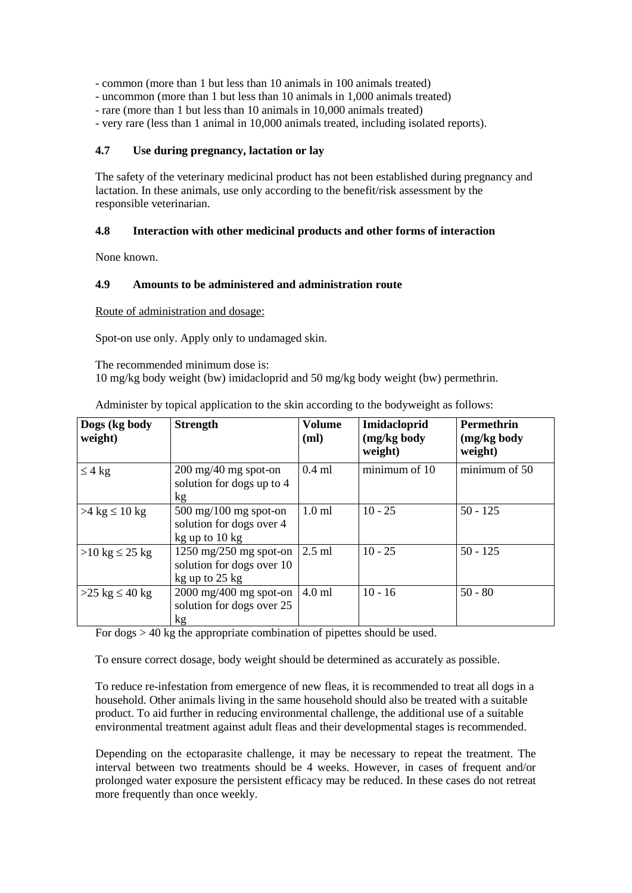- common (more than 1 but less than 10 animals in 100 animals treated)

- uncommon (more than 1 but less than 10 animals in 1,000 animals treated)
- rare (more than 1 but less than 10 animals in 10,000 animals treated)
- very rare (less than 1 animal in 10,000 animals treated, including isolated reports).

#### **4.7 Use during pregnancy, lactation or lay**

The safety of the veterinary medicinal product has not been established during pregnancy and lactation. In these animals, use only according to the benefit/risk assessment by the responsible veterinarian.

#### **4.8 Interaction with other medicinal products and other forms of interaction**

None known.

#### **4.9 Amounts to be administered and administration route**

Route of administration and dosage:

Spot-on use only. Apply only to undamaged skin.

The recommended minimum dose is: 10 mg/kg body weight (bw) imidacloprid and 50 mg/kg body weight (bw) permethrin.

| Dogs (kg body<br>weight)            | <b>Strength</b>                                                                       | Volume<br>(ml) | Imidacloprid<br>(mg/kg body<br>weight) | <b>Permethrin</b><br>(mg/kg body<br>weight) |
|-------------------------------------|---------------------------------------------------------------------------------------|----------------|----------------------------------------|---------------------------------------------|
| $\leq 4$ kg                         | $200 \text{ mg}/40 \text{ mg}$ spot-on<br>solution for dogs up to 4<br>kg             | $0.4$ ml       | minimum of 10                          | minimum of 50                               |
| $>4$ kg $\leq 10$ kg                | $500 \text{ mg}/100 \text{ mg}$ spot-on<br>solution for dogs over 4<br>kg up to 10 kg | $1.0$ ml       | $10 - 25$                              | $50 - 125$                                  |
| $>10 \text{ kg} \leq 25 \text{ kg}$ | 1250 mg/250 mg spot-on<br>solution for dogs over 10<br>kg up to 25 kg                 | $2.5$ ml       | $10 - 25$                              | $50 - 125$                                  |
| $>25 \text{ kg} \leq 40 \text{ kg}$ | 2000 mg/400 mg spot-on<br>solution for dogs over 25<br>kg                             | $4.0$ ml       | $10 - 16$                              | $50 - 80$                                   |

Administer by topical application to the skin according to the bodyweight as follows:

For  $\text{dogs} > 40 \text{ kg}$  the appropriate combination of pipettes should be used.

To ensure correct dosage, body weight should be determined as accurately as possible.

To reduce re-infestation from emergence of new fleas, it is recommended to treat all dogs in a household. Other animals living in the same household should also be treated with a suitable product. To aid further in reducing environmental challenge, the additional use of a suitable environmental treatment against adult fleas and their developmental stages is recommended.

Depending on the ectoparasite challenge, it may be necessary to repeat the treatment. The interval between two treatments should be 4 weeks. However, in cases of frequent and/or prolonged water exposure the persistent efficacy may be reduced. In these cases do not retreat more frequently than once weekly.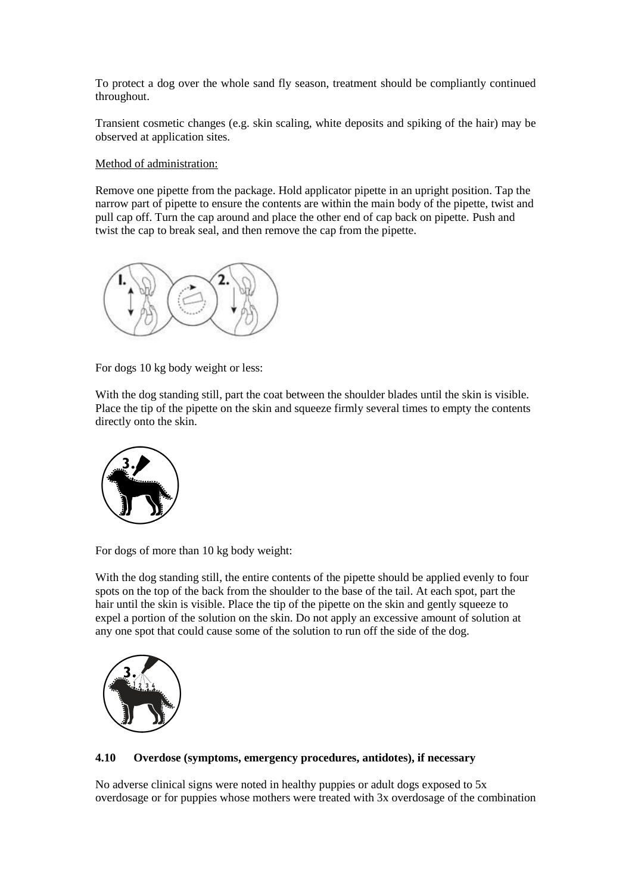To protect a dog over the whole sand fly season, treatment should be compliantly continued throughout.

Transient cosmetic changes (e.g. skin scaling, white deposits and spiking of the hair) may be observed at application sites.

#### Method of administration:

Remove one pipette from the package. Hold applicator pipette in an upright position. Tap the narrow part of pipette to ensure the contents are within the main body of the pipette, twist and pull cap off. Turn the cap around and place the other end of cap back on pipette. Push and twist the cap to break seal, and then remove the cap from the pipette.



For dogs 10 kg body weight or less:

With the dog standing still, part the coat between the shoulder blades until the skin is visible. Place the tip of the pipette on the skin and squeeze firmly several times to empty the contents directly onto the skin.



For dogs of more than 10 kg body weight:

With the dog standing still, the entire contents of the pipette should be applied evenly to four spots on the top of the back from the shoulder to the base of the tail. At each spot, part the hair until the skin is visible. Place the tip of the pipette on the skin and gently squeeze to expel a portion of the solution on the skin. Do not apply an excessive amount of solution at any one spot that could cause some of the solution to run off the side of the dog.



#### **4.10 Overdose (symptoms, emergency procedures, antidotes), if necessary**

No adverse clinical signs were noted in healthy puppies or adult dogs exposed to 5x overdosage or for puppies whose mothers were treated with 3x overdosage of the combination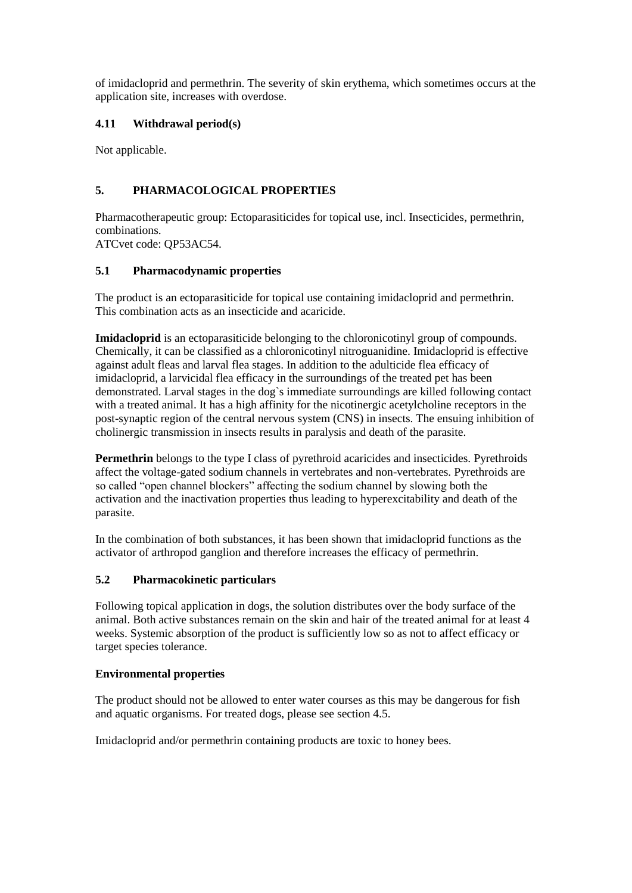of imidacloprid and permethrin. The severity of skin erythema, which sometimes occurs at the application site, increases with overdose.

### **4.11 Withdrawal period(s)**

Not applicable.

### **5. PHARMACOLOGICAL PROPERTIES**

Pharmacotherapeutic group: Ectoparasiticides for topical use, incl. Insecticides, permethrin, combinations.

ATCvet code: QP53AC54.

### **5.1 Pharmacodynamic properties**

The product is an ectoparasiticide for topical use containing imidacloprid and permethrin. This combination acts as an insecticide and acaricide.

**Imidacloprid** is an ectoparasiticide belonging to the chloronicotinyl group of compounds. Chemically, it can be classified as a chloronicotinyl nitroguanidine. Imidacloprid is effective against adult fleas and larval flea stages. In addition to the adulticide flea efficacy of imidacloprid, a larvicidal flea efficacy in the surroundings of the treated pet has been demonstrated. Larval stages in the dog`s immediate surroundings are killed following contact with a treated animal. It has a high affinity for the nicotinergic acetylcholine receptors in the post-synaptic region of the central nervous system (CNS) in insects. The ensuing inhibition of cholinergic transmission in insects results in paralysis and death of the parasite.

**Permethrin** belongs to the type I class of pyrethroid acaricides and insecticides. Pyrethroids affect the voltage-gated sodium channels in vertebrates and non-vertebrates. Pyrethroids are so called "open channel blockers" affecting the sodium channel by slowing both the activation and the inactivation properties thus leading to hyperexcitability and death of the parasite.

In the combination of both substances, it has been shown that imidacloprid functions as the activator of arthropod ganglion and therefore increases the efficacy of permethrin.

### **5.2 Pharmacokinetic particulars**

Following topical application in dogs, the solution distributes over the body surface of the animal. Both active substances remain on the skin and hair of the treated animal for at least 4 weeks. Systemic absorption of the product is sufficiently low so as not to affect efficacy or target species tolerance.

#### **Environmental properties**

The product should not be allowed to enter water courses as this may be dangerous for fish and aquatic organisms. For treated dogs, please see section 4.5.

Imidacloprid and/or permethrin containing products are toxic to honey bees.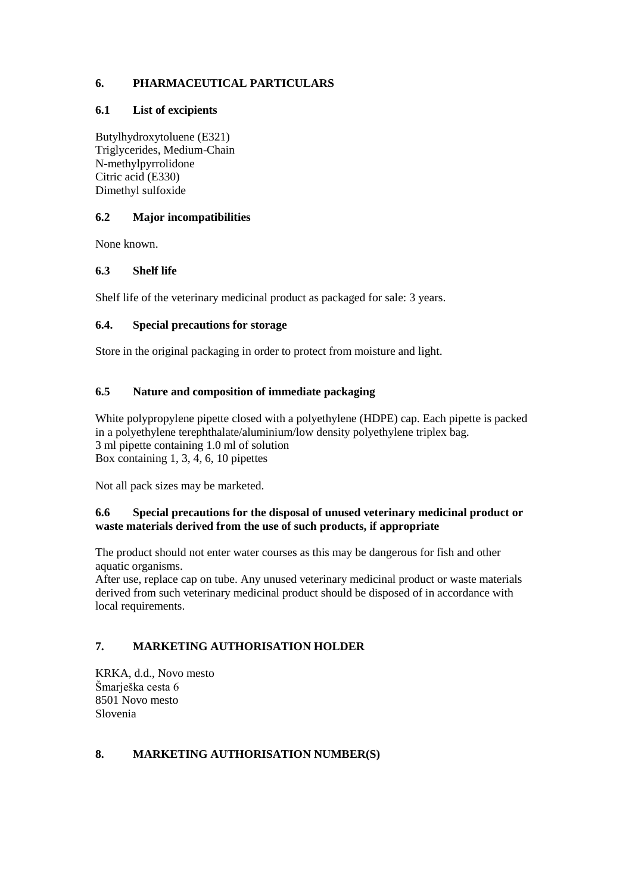## **6. PHARMACEUTICAL PARTICULARS**

#### **6.1 List of excipients**

Butylhydroxytoluene (E321) Triglycerides, Medium-Chain N-methylpyrrolidone Citric acid (E330) Dimethyl sulfoxide

### **6.2 Major incompatibilities**

None known.

### **6.3 Shelf life**

Shelf life of the veterinary medicinal product as packaged for sale: 3 years.

### **6.4. Special precautions for storage**

Store in the original packaging in order to protect from moisture and light.

## **6.5 Nature and composition of immediate packaging**

White polypropylene pipette closed with a polyethylene (HDPE) cap. Each pipette is packed in a polyethylene terephthalate/aluminium/low density polyethylene triplex bag. 3 ml pipette containing 1.0 ml of solution Box containing 1, 3, 4, 6, 10 pipettes

Not all pack sizes may be marketed.

#### **6.6 Special precautions for the disposal of unused veterinary medicinal product or waste materials derived from the use of such products, if appropriate**

The product should not enter water courses as this may be dangerous for fish and other aquatic organisms.

After use, replace cap on tube. Any unused veterinary medicinal product or waste materials derived from such veterinary medicinal product should be disposed of in accordance with local requirements.

# **7. MARKETING AUTHORISATION HOLDER**

KRKA, d.d., Novo mesto Šmarješka cesta 6 8501 Novo mesto Slovenia

### **8. MARKETING AUTHORISATION NUMBER(S)**